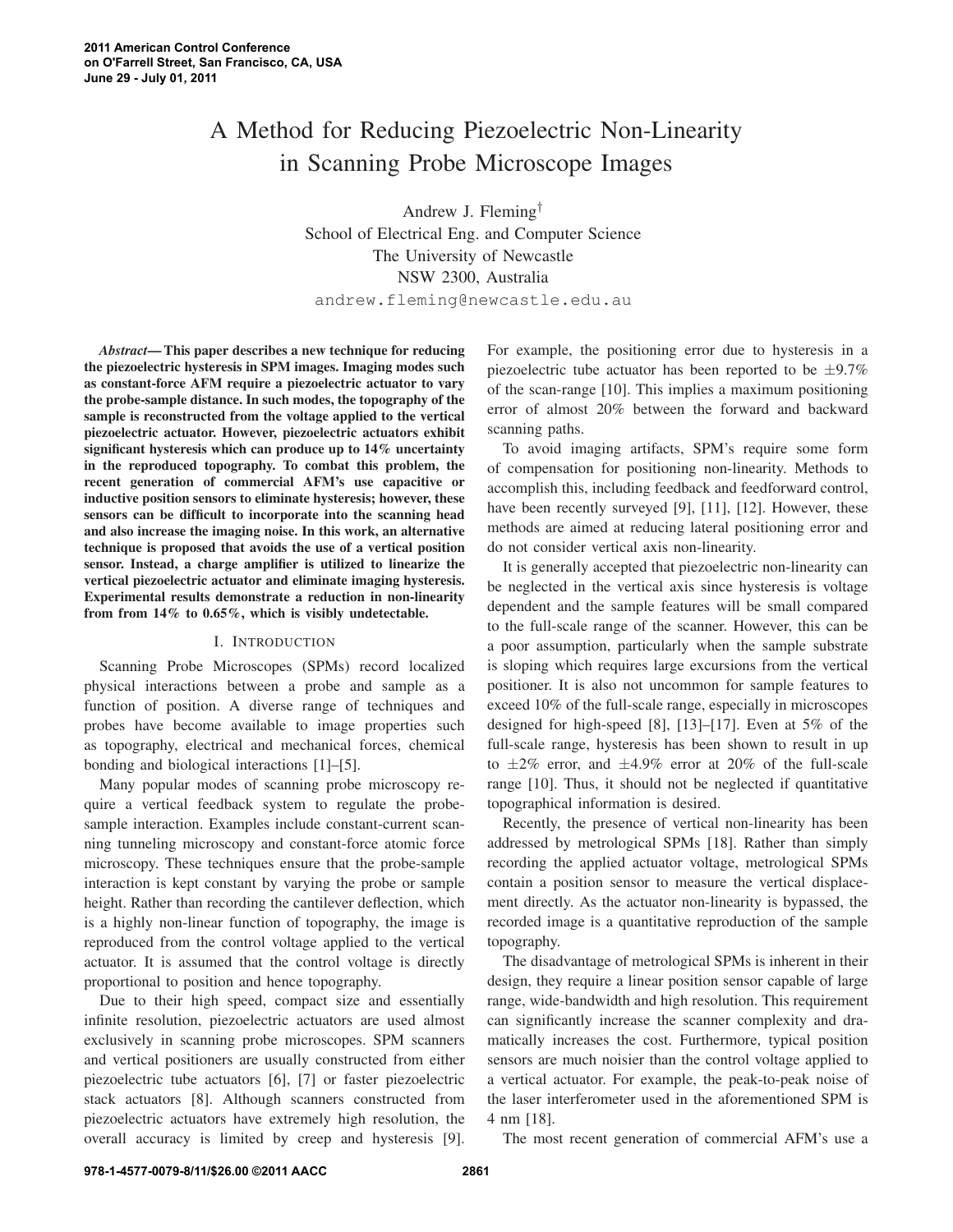# A Method for Reducing Piezoelectric Non-Linearity in Scanning Probe Microscope Images

Andrew J. Fleming† School of Electrical Eng. and Computer Science The University of Newcastle NSW 2300, Australia andrew.fleming@newcastle.edu.au

*Abstract***—This paper describes a new technique for reducing the piezoelectric hysteresis in SPM images. Imaging modes such as constant-force AFM require a piezoelectric actuator to vary the probe-sample distance. In such modes, the topography of the sample is reconstructed from the voltage applied to the vertical piezoelectric actuator. However, piezoelectric actuators exhibit significant hysteresis which can produce up to 14% uncertainty in the reproduced topography. To combat this problem, the recent generation of commercial AFM's use capacitive or inductive position sensors to eliminate hysteresis; however, these sensors can be difficult to incorporate into the scanning head and also increase the imaging noise. In this work, an alternative technique is proposed that avoids the use of a vertical position sensor. Instead, a charge amplifier is utilized to linearize the vertical piezoelectric actuator and eliminate imaging hysteresis. Experimental results demonstrate a reduction in non-linearity from from 14% to 0.65%, which is visibly undetectable.**

## I. INTRODUCTION

Scanning Probe Microscopes (SPMs) record localized physical interactions between a probe and sample as a function of position. A diverse range of techniques and probes have become available to image properties such as topography, electrical and mechanical forces, chemical bonding and biological interactions [1]–[5].

Many popular modes of scanning probe microscopy require a vertical feedback system to regulate the probesample interaction. Examples include constant-current scanning tunneling microscopy and constant-force atomic force microscopy. These techniques ensure that the probe-sample interaction is kept constant by varying the probe or sample height. Rather than recording the cantilever deflection, which is a highly non-linear function of topography, the image is reproduced from the control voltage applied to the vertical actuator. It is assumed that the control voltage is directly proportional to position and hence topography.

Due to their high speed, compact size and essentially infinite resolution, piezoelectric actuators are used almost exclusively in scanning probe microscopes. SPM scanners and vertical positioners are usually constructed from either piezoelectric tube actuators [6], [7] or faster piezoelectric stack actuators [8]. Although scanners constructed from piezoelectric actuators have extremely high resolution, the overall accuracy is limited by creep and hysteresis [9].

For example, the positioning error due to hysteresis in a piezoelectric tube actuator has been reported to be  $\pm$ 9.7% of the scan-range [10]. This implies a maximum positioning error of almost 20% between the forward and backward scanning paths.

To avoid imaging artifacts, SPM's require some form of compensation for positioning non-linearity. Methods to accomplish this, including feedback and feedforward control, have been recently surveyed [9], [11], [12]. However, these methods are aimed at reducing lateral positioning error and do not consider vertical axis non-linearity.

It is generally accepted that piezoelectric non-linearity can be neglected in the vertical axis since hysteresis is voltage dependent and the sample features will be small compared to the full-scale range of the scanner. However, this can be a poor assumption, particularly when the sample substrate is sloping which requires large excursions from the vertical positioner. It is also not uncommon for sample features to exceed 10% of the full-scale range, especially in microscopes designed for high-speed [8], [13]–[17]. Even at 5% of the full-scale range, hysteresis has been shown to result in up to  $\pm 2\%$  error, and  $\pm 4.9\%$  error at 20% of the full-scale range [10]. Thus, it should not be neglected if quantitative topographical information is desired.

Recently, the presence of vertical non-linearity has been addressed by metrological SPMs [18]. Rather than simply recording the applied actuator voltage, metrological SPMs contain a position sensor to measure the vertical displacement directly. As the actuator non-linearity is bypassed, the recorded image is a quantitative reproduction of the sample topography.

The disadvantage of metrological SPMs is inherent in their design, they require a linear position sensor capable of large range, wide-bandwidth and high resolution. This requirement can significantly increase the scanner complexity and dramatically increases the cost. Furthermore, typical position sensors are much noisier than the control voltage applied to a vertical actuator. For example, the peak-to-peak noise of the laser interferometer used in the aforementioned SPM is 4 nm [18].

The most recent generation of commercial AFM's use a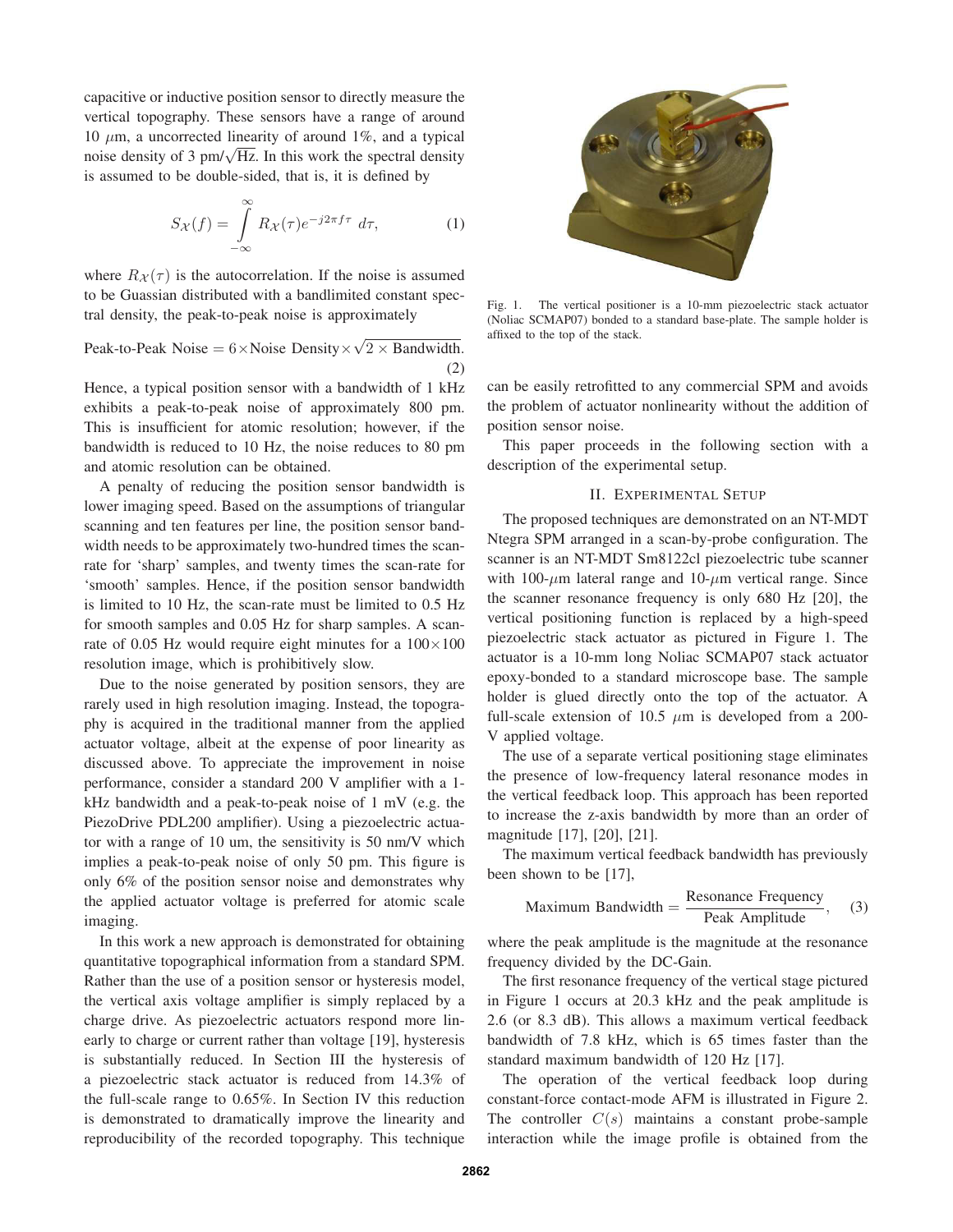capacitive or inductive position sensor to directly measure the vertical topography. These sensors have a range of around 10  $\mu$ m, a uncorrected linearity of around 1%, and a typical noise density of 3 pm/ $\sqrt{Hz}$ . In this work the spectral density is assumed to be double-sided, that is, it is defined by

$$
S_{\mathcal{X}}(f) = \int_{-\infty}^{\infty} R_{\mathcal{X}}(\tau) e^{-j2\pi f \tau} d\tau,
$$
 (1)

where  $R_{\mathcal{X}}(\tau)$  is the autocorrelation. If the noise is assumed to be Guassian distributed with a bandlimited constant spectral density, the peak-to-peak noise is approximately

Peak-to-Peak Noise =  $6 \times$  Noise Density  $\times \sqrt{2 \times$  Bandwidth. (2)

Hence, a typical position sensor with a bandwidth of 1 kHz exhibits a peak-to-peak noise of approximately 800 pm. This is insufficient for atomic resolution; however, if the bandwidth is reduced to 10 Hz, the noise reduces to 80 pm and atomic resolution can be obtained.

A penalty of reducing the position sensor bandwidth is lower imaging speed. Based on the assumptions of triangular scanning and ten features per line, the position sensor bandwidth needs to be approximately two-hundred times the scanrate for 'sharp' samples, and twenty times the scan-rate for 'smooth' samples. Hence, if the position sensor bandwidth is limited to 10 Hz, the scan-rate must be limited to 0.5 Hz for smooth samples and 0.05 Hz for sharp samples. A scanrate of 0.05 Hz would require eight minutes for a  $100\times100$ resolution image, which is prohibitively slow.

Due to the noise generated by position sensors, they are rarely used in high resolution imaging. Instead, the topography is acquired in the traditional manner from the applied actuator voltage, albeit at the expense of poor linearity as discussed above. To appreciate the improvement in noise performance, consider a standard 200 V amplifier with a 1 kHz bandwidth and a peak-to-peak noise of 1 mV (e.g. the PiezoDrive PDL200 amplifier). Using a piezoelectric actuator with a range of 10 um, the sensitivity is 50 nm/V which implies a peak-to-peak noise of only 50 pm. This figure is only 6% of the position sensor noise and demonstrates why the applied actuator voltage is preferred for atomic scale imaging.

In this work a new approach is demonstrated for obtaining quantitative topographical information from a standard SPM. Rather than the use of a position sensor or hysteresis model, the vertical axis voltage amplifier is simply replaced by a charge drive. As piezoelectric actuators respond more linearly to charge or current rather than voltage [19], hysteresis is substantially reduced. In Section III the hysteresis of a piezoelectric stack actuator is reduced from 14.3% of the full-scale range to 0.65%. In Section IV this reduction is demonstrated to dramatically improve the linearity and reproducibility of the recorded topography. This technique



Fig. 1. The vertical positioner is a 10-mm piezoelectric stack actuator (Noliac SCMAP07) bonded to a standard base-plate. The sample holder is affixed to the top of the stack.

can be easily retrofitted to any commercial SPM and avoids the problem of actuator nonlinearity without the addition of position sensor noise.

This paper proceeds in the following section with a description of the experimental setup.

# II. EXPERIMENTAL SETUP

The proposed techniques are demonstrated on an NT-MDT Ntegra SPM arranged in a scan-by-probe configuration. The scanner is an NT-MDT Sm8122cl piezoelectric tube scanner with 100- $\mu$ m lateral range and 10- $\mu$ m vertical range. Since the scanner resonance frequency is only 680 Hz [20], the vertical positioning function is replaced by a high-speed piezoelectric stack actuator as pictured in Figure 1. The actuator is a 10-mm long Noliac SCMAP07 stack actuator epoxy-bonded to a standard microscope base. The sample holder is glued directly onto the top of the actuator. A full-scale extension of 10.5  $\mu$ m is developed from a 200-V applied voltage.

The use of a separate vertical positioning stage eliminates the presence of low-frequency lateral resonance modes in the vertical feedback loop. This approach has been reported to increase the z-axis bandwidth by more than an order of magnitude [17], [20], [21].

The maximum vertical feedback bandwidth has previously been shown to be [17],

Maximum Bandwidth = 
$$
\frac{\text{Resonance Frequency}}{\text{Peak Amplitude}}, \quad (3)
$$

where the peak amplitude is the magnitude at the resonance frequency divided by the DC-Gain.

The first resonance frequency of the vertical stage pictured in Figure 1 occurs at 20.3 kHz and the peak amplitude is 2.6 (or 8.3 dB). This allows a maximum vertical feedback bandwidth of 7.8 kHz, which is 65 times faster than the standard maximum bandwidth of 120 Hz [17].

The operation of the vertical feedback loop during constant-force contact-mode AFM is illustrated in Figure 2. The controller  $C(s)$  maintains a constant probe-sample interaction while the image profile is obtained from the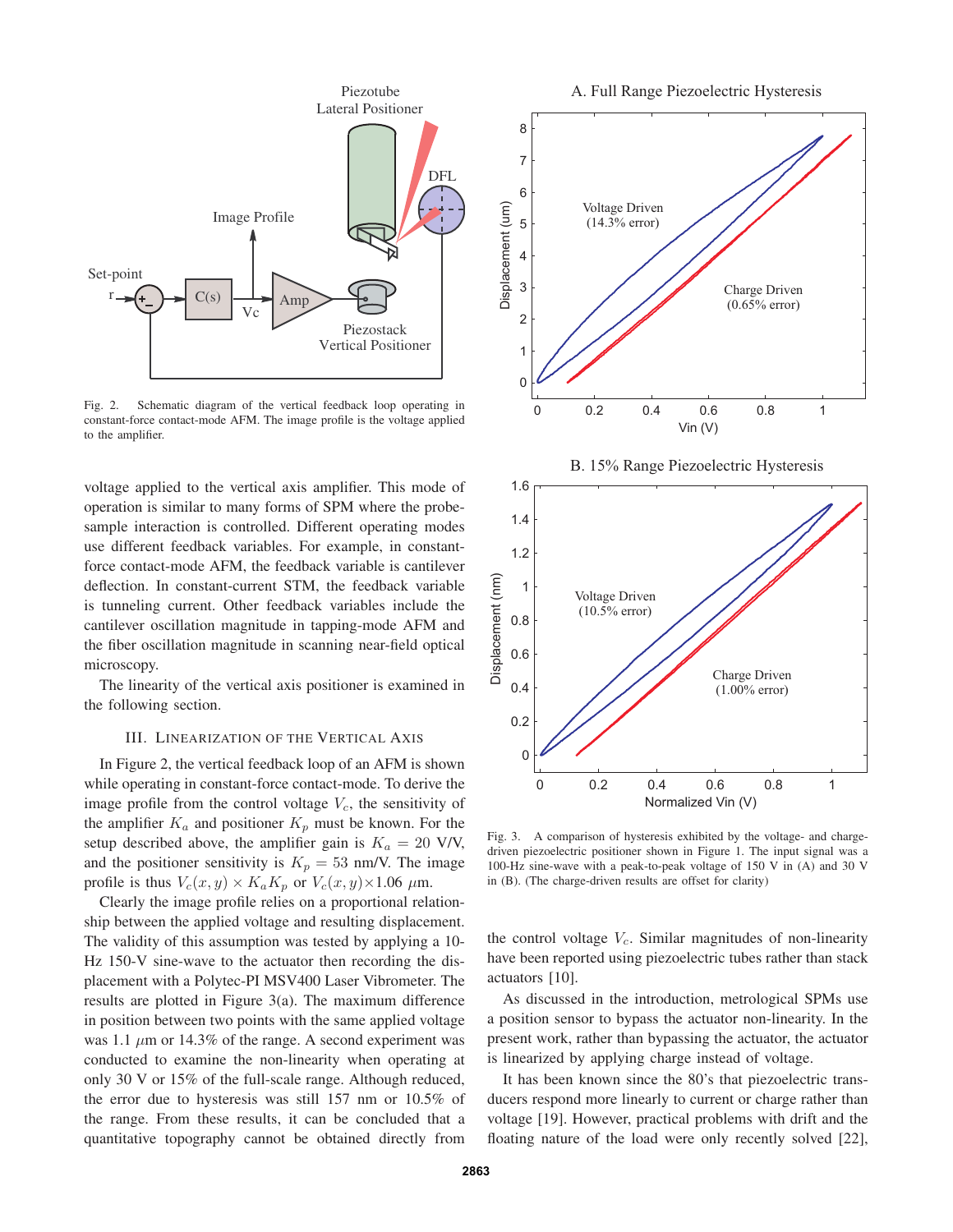

Fig. 2. Schematic diagram of the vertical feedback loop operating in constant-force contact-mode AFM. The image profile is the voltage applied to the amplifier.

voltage applied to the vertical axis amplifier. This mode of operation is similar to many forms of SPM where the probesample interaction is controlled. Different operating modes use different feedback variables. For example, in constantforce contact-mode AFM, the feedback variable is cantilever deflection. In constant-current STM, the feedback variable is tunneling current. Other feedback variables include the cantilever oscillation magnitude in tapping-mode AFM and the fiber oscillation magnitude in scanning near-field optical microscopy.

The linearity of the vertical axis positioner is examined in the following section.

### III. LINEARIZATION OF THE VERTICAL AXIS

In Figure 2, the vertical feedback loop of an AFM is shown while operating in constant-force contact-mode. To derive the image profile from the control voltage  $V_c$ , the sensitivity of the amplifier  $K_a$  and positioner  $K_p$  must be known. For the setup described above, the amplifier gain is  $K_a = 20$  V/V, and the positioner sensitivity is  $K_p = 53$  nm/V. The image profile is thus  $V_c(x, y) \times K_a K_p$  or  $V_c(x, y) \times 1.06 \mu$ m.

Clearly the image profile relies on a proportional relationship between the applied voltage and resulting displacement. The validity of this assumption was tested by applying a 10- Hz 150-V sine-wave to the actuator then recording the displacement with a Polytec-PI MSV400 Laser Vibrometer. The results are plotted in Figure 3(a). The maximum difference in position between two points with the same applied voltage was 1.1  $\mu$ m or 14.3% of the range. A second experiment was conducted to examine the non-linearity when operating at only 30 V or 15% of the full-scale range. Although reduced, the error due to hysteresis was still 157 nm or 10.5% of the range. From these results, it can be concluded that a quantitative topography cannot be obtained directly from







Fig. 3. A comparison of hysteresis exhibited by the voltage- and chargedriven piezoelectric positioner shown in Figure 1. The input signal was a 100-Hz sine-wave with a peak-to-peak voltage of 150 V in (A) and 30 V in (B). (The charge-driven results are offset for clarity)

the control voltage  $V_c$ . Similar magnitudes of non-linearity have been reported using piezoelectric tubes rather than stack actuators [10].

As discussed in the introduction, metrological SPMs use a position sensor to bypass the actuator non-linearity. In the present work, rather than bypassing the actuator, the actuator is linearized by applying charge instead of voltage.

It has been known since the 80's that piezoelectric transducers respond more linearly to current or charge rather than voltage [19]. However, practical problems with drift and the floating nature of the load were only recently solved [22],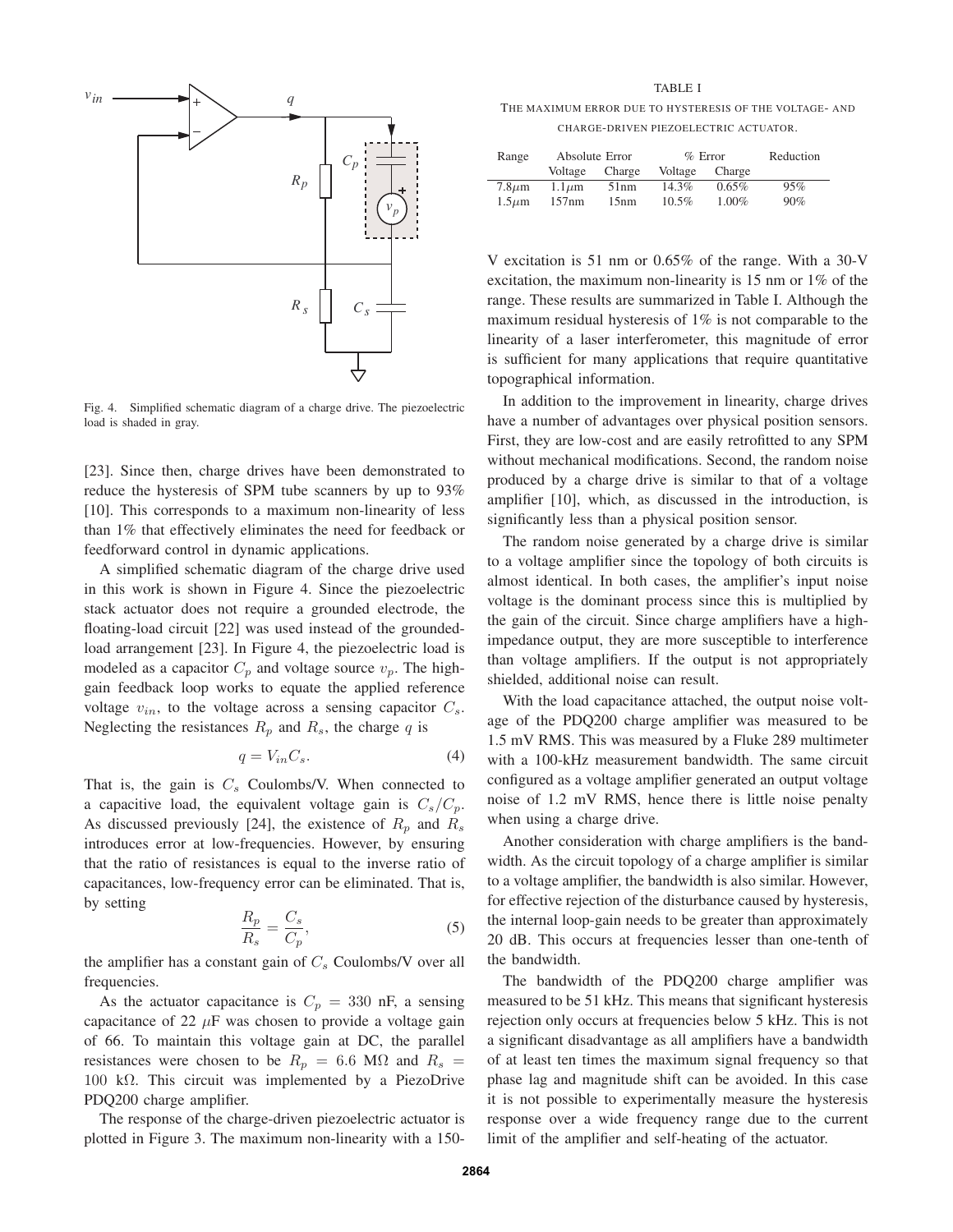

Fig. 4. Simplified schematic diagram of a charge drive. The piezoelectric load is shaded in gray.

[23]. Since then, charge drives have been demonstrated to reduce the hysteresis of SPM tube scanners by up to 93% [10]. This corresponds to a maximum non-linearity of less than 1% that effectively eliminates the need for feedback or feedforward control in dynamic applications.

A simplified schematic diagram of the charge drive used in this work is shown in Figure 4. Since the piezoelectric stack actuator does not require a grounded electrode, the floating-load circuit [22] was used instead of the groundedload arrangement [23]. In Figure 4, the piezoelectric load is modeled as a capacitor  $C_p$  and voltage source  $v_p$ . The highgain feedback loop works to equate the applied reference voltage  $v_{in}$ , to the voltage across a sensing capacitor  $C_s$ . Neglecting the resistances  $R_p$  and  $R_s$ , the charge q is

$$
q = V_{in}C_s. \t\t(4)
$$

That is, the gain is  $C_s$  Coulombs/V. When connected to a capacitive load, the equivalent voltage gain is  $C_s/C_p$ . As discussed previously [24], the existence of  $R_p$  and  $R_s$ introduces error at low-frequencies. However, by ensuring that the ratio of resistances is equal to the inverse ratio of capacitances, low-frequency error can be eliminated. That is, by setting

$$
\frac{R_p}{R_s} = \frac{C_s}{C_p},\tag{5}
$$

the amplifier has a constant gain of  $C_s$  Coulombs/V over all frequencies.

As the actuator capacitance is  $C_p = 330$  nF, a sensing capacitance of 22  $\mu$ F was chosen to provide a voltage gain of 66. To maintain this voltage gain at DC, the parallel resistances were chosen to be  $R_p = 6.6$  M $\Omega$  and  $R_s =$ 100 kΩ. This circuit was implemented by a PiezoDrive PDQ200 charge amplifier.

The response of the charge-driven piezoelectric actuator is plotted in Figure 3. The maximum non-linearity with a 150-

#### TABLE I

THE MAXIMUM ERROR DUE TO HYSTERESIS OF THE VOLTAGE- AND CHARGE-DRIVEN PIEZOELECTRIC ACTUATOR.

| Range       | Absolute Error |        | $%$ Error |          | Reduction |
|-------------|----------------|--------|-----------|----------|-----------|
|             | Voltage        | Charge | Voltage   | Charge   |           |
| $7.8 \mu m$ | $1.1 \mu m$    | 51nm   | 14.3%     | 0.65%    | 95%       |
| $1.5 \mu m$ | 157nm          | 15nm   | $10.5\%$  | $1.00\%$ | 90%       |

V excitation is 51 nm or 0.65% of the range. With a 30-V excitation, the maximum non-linearity is 15 nm or 1% of the range. These results are summarized in Table I. Although the maximum residual hysteresis of 1% is not comparable to the linearity of a laser interferometer, this magnitude of error is sufficient for many applications that require quantitative topographical information.

In addition to the improvement in linearity, charge drives have a number of advantages over physical position sensors. First, they are low-cost and are easily retrofitted to any SPM without mechanical modifications. Second, the random noise produced by a charge drive is similar to that of a voltage amplifier [10], which, as discussed in the introduction, is significantly less than a physical position sensor.

The random noise generated by a charge drive is similar to a voltage amplifier since the topology of both circuits is almost identical. In both cases, the amplifier's input noise voltage is the dominant process since this is multiplied by the gain of the circuit. Since charge amplifiers have a highimpedance output, they are more susceptible to interference than voltage amplifiers. If the output is not appropriately shielded, additional noise can result.

With the load capacitance attached, the output noise voltage of the PDQ200 charge amplifier was measured to be 1.5 mV RMS. This was measured by a Fluke 289 multimeter with a 100-kHz measurement bandwidth. The same circuit configured as a voltage amplifier generated an output voltage noise of 1.2 mV RMS, hence there is little noise penalty when using a charge drive.

Another consideration with charge amplifiers is the bandwidth. As the circuit topology of a charge amplifier is similar to a voltage amplifier, the bandwidth is also similar. However, for effective rejection of the disturbance caused by hysteresis, the internal loop-gain needs to be greater than approximately 20 dB. This occurs at frequencies lesser than one-tenth of the bandwidth.

The bandwidth of the PDQ200 charge amplifier was measured to be 51 kHz. This means that significant hysteresis rejection only occurs at frequencies below 5 kHz. This is not a significant disadvantage as all amplifiers have a bandwidth of at least ten times the maximum signal frequency so that phase lag and magnitude shift can be avoided. In this case it is not possible to experimentally measure the hysteresis response over a wide frequency range due to the current limit of the amplifier and self-heating of the actuator.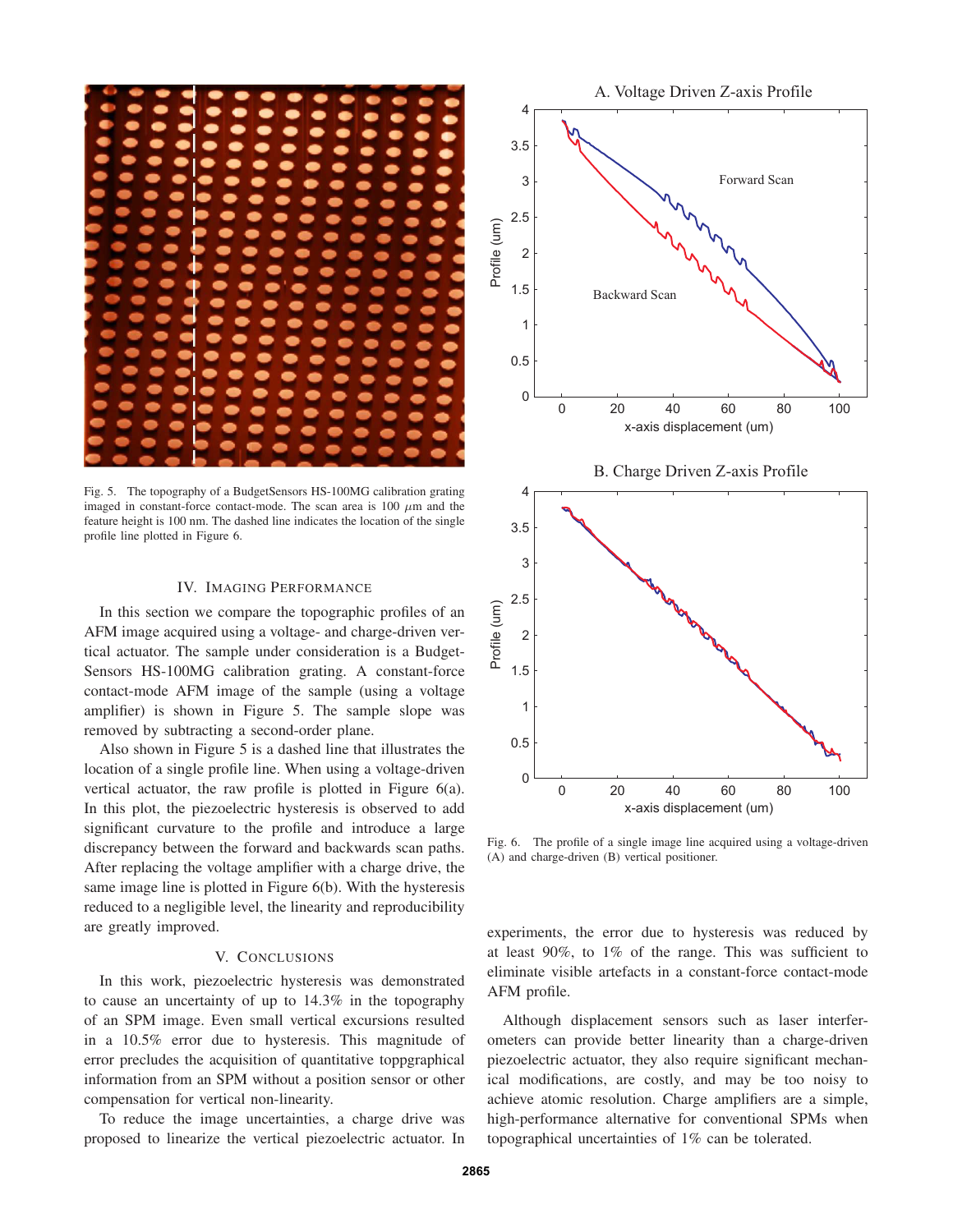

Fig. 5. The topography of a BudgetSensors HS-100MG calibration grating imaged in constant-force contact-mode. The scan area is 100  $\mu$ m and the feature height is 100 nm. The dashed line indicates the location of the single profile line plotted in Figure 6.

## IV. IMAGING PERFORMANCE

In this section we compare the topographic profiles of an AFM image acquired using a voltage- and charge-driven vertical actuator. The sample under consideration is a Budget-Sensors HS-100MG calibration grating. A constant-force contact-mode AFM image of the sample (using a voltage amplifier) is shown in Figure 5. The sample slope was removed by subtracting a second-order plane.

Also shown in Figure 5 is a dashed line that illustrates the location of a single profile line. When using a voltage-driven vertical actuator, the raw profile is plotted in Figure 6(a). In this plot, the piezoelectric hysteresis is observed to add significant curvature to the profile and introduce a large discrepancy between the forward and backwards scan paths. After replacing the voltage amplifier with a charge drive, the same image line is plotted in Figure 6(b). With the hysteresis reduced to a negligible level, the linearity and reproducibility are greatly improved.

## V. CONCLUSIONS

In this work, piezoelectric hysteresis was demonstrated to cause an uncertainty of up to 14.3% in the topography of an SPM image. Even small vertical excursions resulted in a 10.5% error due to hysteresis. This magnitude of error precludes the acquisition of quantitative toppgraphical information from an SPM without a position sensor or other compensation for vertical non-linearity.

To reduce the image uncertainties, a charge drive was proposed to linearize the vertical piezoelectric actuator. In



Fig. 6. The profile of a single image line acquired using a voltage-driven (A) and charge-driven (B) vertical positioner.

experiments, the error due to hysteresis was reduced by at least 90%, to 1% of the range. This was sufficient to eliminate visible artefacts in a constant-force contact-mode AFM profile.

Although displacement sensors such as laser interferometers can provide better linearity than a charge-driven piezoelectric actuator, they also require significant mechanical modifications, are costly, and may be too noisy to achieve atomic resolution. Charge amplifiers are a simple, high-performance alternative for conventional SPMs when topographical uncertainties of 1% can be tolerated.